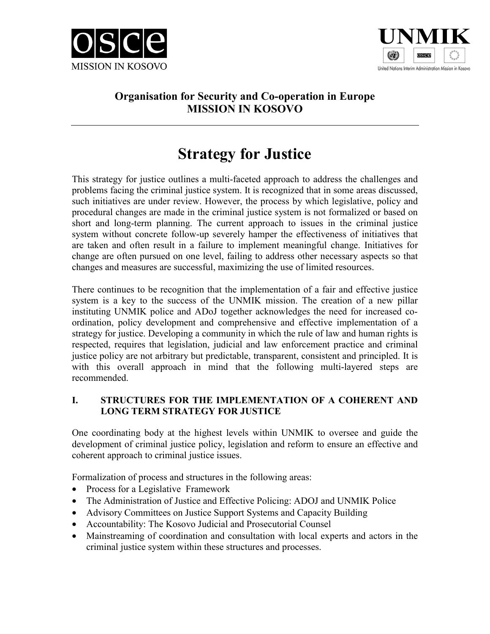



# **Organisation for Security and Co-operation in Europe MISSION IN KOSOVO**

# **Strategy for Justice**

This strategy for justice outlines a multi-faceted approach to address the challenges and problems facing the criminal justice system. It is recognized that in some areas discussed, such initiatives are under review. However, the process by which legislative, policy and procedural changes are made in the criminal justice system is not formalized or based on short and long-term planning. The current approach to issues in the criminal justice system without concrete follow-up severely hamper the effectiveness of initiatives that are taken and often result in a failure to implement meaningful change. Initiatives for change are often pursued on one level, failing to address other necessary aspects so that changes and measures are successful, maximizing the use of limited resources.

There continues to be recognition that the implementation of a fair and effective justice system is a key to the success of the UNMIK mission. The creation of a new pillar instituting UNMIK police and ADoJ together acknowledges the need for increased coordination, policy development and comprehensive and effective implementation of a strategy for justice. Developing a community in which the rule of law and human rights is respected, requires that legislation, judicial and law enforcement practice and criminal justice policy are not arbitrary but predictable, transparent, consistent and principled. It is with this overall approach in mind that the following multi-layered steps are recommended.

# **I. STRUCTURES FOR THE IMPLEMENTATION OF A COHERENT AND LONG TERM STRATEGY FOR JUSTICE**

One coordinating body at the highest levels within UNMIK to oversee and guide the development of criminal justice policy, legislation and reform to ensure an effective and coherent approach to criminal justice issues.

Formalization of process and structures in the following areas:

- Process for a Legislative Framework
- The Administration of Justice and Effective Policing: ADOJ and UNMIK Police
- Advisory Committees on Justice Support Systems and Capacity Building
- Accountability: The Kosovo Judicial and Prosecutorial Counsel
- Mainstreaming of coordination and consultation with local experts and actors in the criminal justice system within these structures and processes.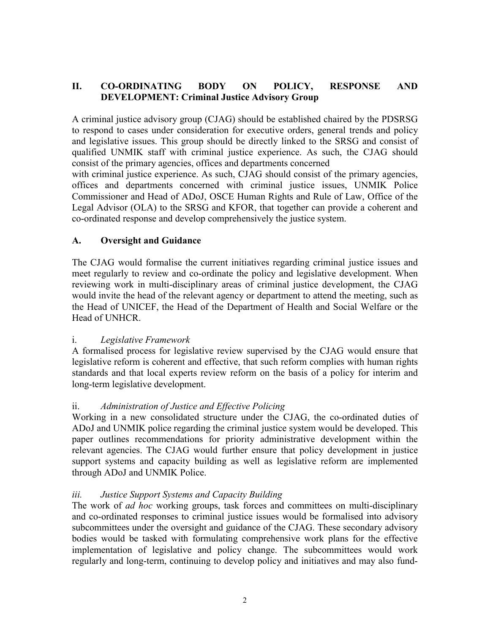### **II. CO-ORDINATING BODY ON POLICY, RESPONSE AND DEVELOPMENT: Criminal Justice Advisory Group**

A criminal justice advisory group (CJAG) should be established chaired by the PDSRSG to respond to cases under consideration for executive orders, general trends and policy and legislative issues. This group should be directly linked to the SRSG and consist of qualified UNMIK staff with criminal justice experience. As such, the CJAG should consist of the primary agencies, offices and departments concerned

with criminal justice experience. As such, CJAG should consist of the primary agencies, offices and departments concerned with criminal justice issues, UNMIK Police Commissioner and Head of ADoJ, OSCE Human Rights and Rule of Law, Office of the Legal Advisor (OLA) to the SRSG and KFOR, that together can provide a coherent and co-ordinated response and develop comprehensively the justice system.

### **A. Oversight and Guidance**

The CJAG would formalise the current initiatives regarding criminal justice issues and meet regularly to review and co-ordinate the policy and legislative development. When reviewing work in multi-disciplinary areas of criminal justice development, the CJAG would invite the head of the relevant agency or department to attend the meeting, such as the Head of UNICEF, the Head of the Department of Health and Social Welfare or the Head of UNHCR.

### i. *Legislative Framework*

A formalised process for legislative review supervised by the CJAG would ensure that legislative reform is coherent and effective, that such reform complies with human rights standards and that local experts review reform on the basis of a policy for interim and long-term legislative development.

# ii. *Administration of Justice and Effective Policing*

Working in a new consolidated structure under the CJAG, the co-ordinated duties of ADoJ and UNMIK police regarding the criminal justice system would be developed. This paper outlines recommendations for priority administrative development within the relevant agencies. The CJAG would further ensure that policy development in justice support systems and capacity building as well as legislative reform are implemented through ADoJ and UNMIK Police.

# *iii. Justice Support Systems and Capacity Building*

The work of *ad hoc* working groups, task forces and committees on multi-disciplinary and co-ordinated responses to criminal justice issues would be formalised into advisory subcommittees under the oversight and guidance of the CJAG. These secondary advisory bodies would be tasked with formulating comprehensive work plans for the effective implementation of legislative and policy change. The subcommittees would work regularly and long-term, continuing to develop policy and initiatives and may also fund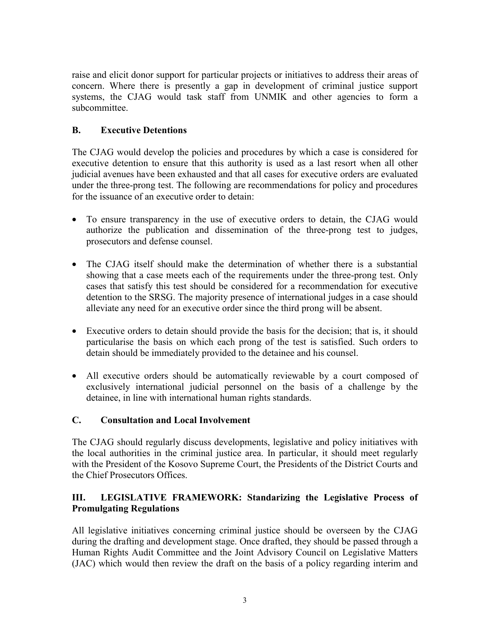raise and elicit donor support for particular projects or initiatives to address their areas of concern. Where there is presently a gap in development of criminal justice support systems, the CJAG would task staff from UNMIK and other agencies to form a subcommittee.

# **B. Executive Detentions**

The CJAG would develop the policies and procedures by which a case is considered for executive detention to ensure that this authority is used as a last resort when all other judicial avenues have been exhausted and that all cases for executive orders are evaluated under the three-prong test. The following are recommendations for policy and procedures for the issuance of an executive order to detain:

- To ensure transparency in the use of executive orders to detain, the CJAG would authorize the publication and dissemination of the three-prong test to judges, prosecutors and defense counsel.
- The CJAG itself should make the determination of whether there is a substantial showing that a case meets each of the requirements under the three-prong test. Only cases that satisfy this test should be considered for a recommendation for executive detention to the SRSG. The majority presence of international judges in a case should alleviate any need for an executive order since the third prong will be absent.
- Executive orders to detain should provide the basis for the decision; that is, it should particularise the basis on which each prong of the test is satisfied. Such orders to detain should be immediately provided to the detainee and his counsel.
- All executive orders should be automatically reviewable by a court composed of exclusively international judicial personnel on the basis of a challenge by the detainee, in line with international human rights standards.

### **C. Consultation and Local Involvement**

The CJAG should regularly discuss developments, legislative and policy initiatives with the local authorities in the criminal justice area. In particular, it should meet regularly with the President of the Kosovo Supreme Court, the Presidents of the District Courts and the Chief Prosecutors Offices.

### **III. LEGISLATIVE FRAMEWORK: Standarizing the Legislative Process of Promulgating Regulations**

All legislative initiatives concerning criminal justice should be overseen by the CJAG during the drafting and development stage. Once drafted, they should be passed through a Human Rights Audit Committee and the Joint Advisory Council on Legislative Matters (JAC) which would then review the draft on the basis of a policy regarding interim and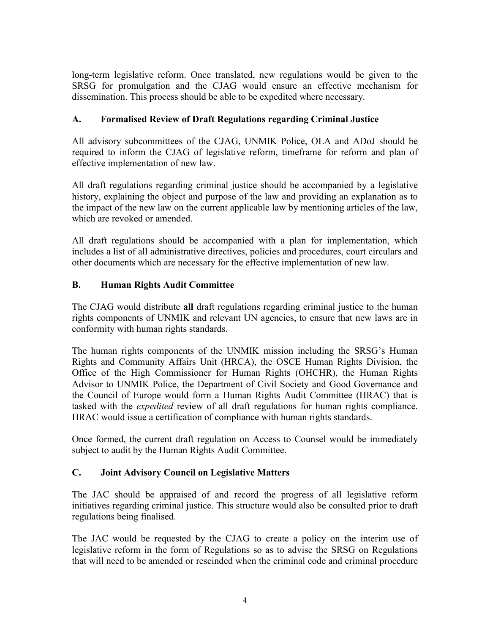long-term legislative reform. Once translated, new regulations would be given to the SRSG for promulgation and the CJAG would ensure an effective mechanism for dissemination. This process should be able to be expedited where necessary.

# **A. Formalised Review of Draft Regulations regarding Criminal Justice**

All advisory subcommittees of the CJAG, UNMIK Police, OLA and ADoJ should be required to inform the CJAG of legislative reform, timeframe for reform and plan of effective implementation of new law.

All draft regulations regarding criminal justice should be accompanied by a legislative history, explaining the object and purpose of the law and providing an explanation as to the impact of the new law on the current applicable law by mentioning articles of the law, which are revoked or amended.

All draft regulations should be accompanied with a plan for implementation, which includes a list of all administrative directives, policies and procedures, court circulars and other documents which are necessary for the effective implementation of new law.

# **B. Human Rights Audit Committee**

The CJAG would distribute **all** draft regulations regarding criminal justice to the human rights components of UNMIK and relevant UN agencies, to ensure that new laws are in conformity with human rights standards.

The human rights components of the UNMIK mission including the SRSG's Human Rights and Community Affairs Unit (HRCA), the OSCE Human Rights Division, the Office of the High Commissioner for Human Rights (OHCHR), the Human Rights Advisor to UNMIK Police, the Department of Civil Society and Good Governance and the Council of Europe would form a Human Rights Audit Committee (HRAC) that is tasked with the *expedited* review of all draft regulations for human rights compliance. HRAC would issue a certification of compliance with human rights standards.

Once formed, the current draft regulation on Access to Counsel would be immediately subject to audit by the Human Rights Audit Committee.

# **C. Joint Advisory Council on Legislative Matters**

The JAC should be appraised of and record the progress of all legislative reform initiatives regarding criminal justice. This structure would also be consulted prior to draft regulations being finalised.

The JAC would be requested by the CJAG to create a policy on the interim use of legislative reform in the form of Regulations so as to advise the SRSG on Regulations that will need to be amended or rescinded when the criminal code and criminal procedure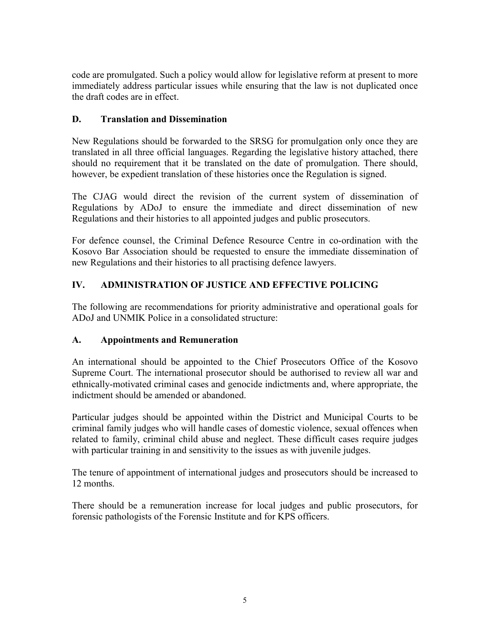code are promulgated. Such a policy would allow for legislative reform at present to more immediately address particular issues while ensuring that the law is not duplicated once the draft codes are in effect.

# **D. Translation and Dissemination**

New Regulations should be forwarded to the SRSG for promulgation only once they are translated in all three official languages. Regarding the legislative history attached, there should no requirement that it be translated on the date of promulgation. There should, however, be expedient translation of these histories once the Regulation is signed.

The CJAG would direct the revision of the current system of dissemination of Regulations by ADoJ to ensure the immediate and direct dissemination of new Regulations and their histories to all appointed judges and public prosecutors.

For defence counsel, the Criminal Defence Resource Centre in co-ordination with the Kosovo Bar Association should be requested to ensure the immediate dissemination of new Regulations and their histories to all practising defence lawyers.

# **IV. ADMINISTRATION OF JUSTICE AND EFFECTIVE POLICING**

The following are recommendations for priority administrative and operational goals for ADoJ and UNMIK Police in a consolidated structure:

# **A. Appointments and Remuneration**

An international should be appointed to the Chief Prosecutors Office of the Kosovo Supreme Court. The international prosecutor should be authorised to review all war and ethnically-motivated criminal cases and genocide indictments and, where appropriate, the indictment should be amended or abandoned.

Particular judges should be appointed within the District and Municipal Courts to be criminal family judges who will handle cases of domestic violence, sexual offences when related to family, criminal child abuse and neglect. These difficult cases require judges with particular training in and sensitivity to the issues as with juvenile judges.

The tenure of appointment of international judges and prosecutors should be increased to 12 months.

There should be a remuneration increase for local judges and public prosecutors, for forensic pathologists of the Forensic Institute and for KPS officers.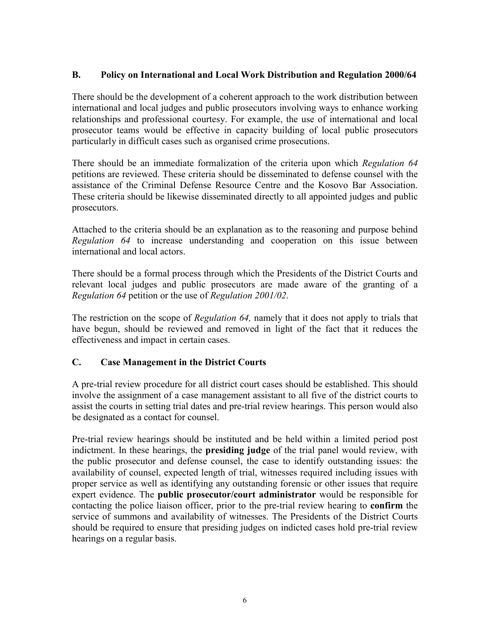### **B. Policy on International and Local Work Distribution and Regulation 2000/64**

There should be the development of a coherent approach to the work distribution between international and local judges and public prosecutors involving ways to enhance working relationships and professional courtesy. For example, the use of international and local prosecutor teams would be effective in capacity building of local public prosecutors particularly in difficult cases such as organised crime prosecutions.

There should be an immediate formalization of the criteria upon which *Regulation 64* petitions are reviewed. These criteria should be disseminated to defense counsel with the assistance of the Criminal Defense Resource Centre and the Kosovo Bar Association. These criteria should be likewise disseminated directly to all appointed judges and public prosecutors.

Attached to the criteria should be an explanation as to the reasoning and purpose behind *Regulation 64* to increase understanding and cooperation on this issue between international and local actors.

There should be a formal process through which the Presidents of the District Courts and relevant local judges and public prosecutors are made aware of the granting of a *Regulation 64* petition or the use of *Regulation 2001/02*.

The restriction on the scope of *Regulation 64,* namely that it does not apply to trials that have begun, should be reviewed and removed in light of the fact that it reduces the effectiveness and impact in certain cases.

### **C. Case Management in the District Courts**

A pre-trial review procedure for all district court cases should be established. This should involve the assignment of a case management assistant to all five of the district courts to assist the courts in setting trial dates and pre-trial review hearings. This person would also be designated as a contact for counsel.

Pre-trial review hearings should be instituted and be held within a limited period post indictment. In these hearings, the **presiding judge** of the trial panel would review, with the public prosecutor and defense counsel, the case to identify outstanding issues: the availability of counsel, expected length of trial, witnesses required including issues with proper service as well as identifying any outstanding forensic or other issues that require expert evidence. The **public prosecutor/court administrator** would be responsible for contacting the police liaison officer, prior to the pre-trial review hearing to **confirm** the service of summons and availability of witnesses. The Presidents of the District Courts should be required to ensure that presiding judges on indicted cases hold pre-trial review hearings on a regular basis.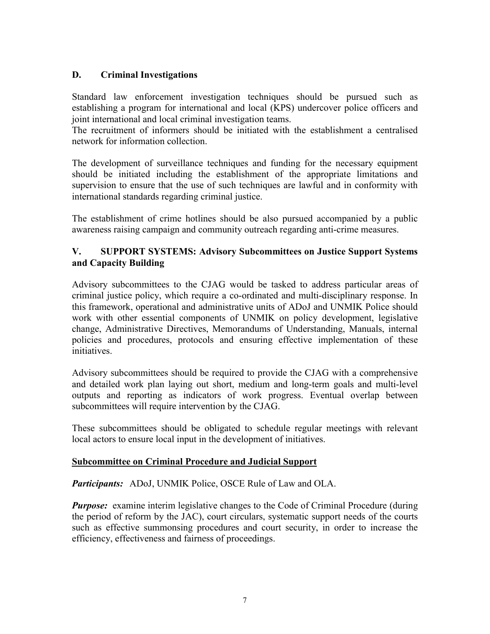# **D. Criminal Investigations**

Standard law enforcement investigation techniques should be pursued such as establishing a program for international and local (KPS) undercover police officers and joint international and local criminal investigation teams.

The recruitment of informers should be initiated with the establishment a centralised network for information collection.

The development of surveillance techniques and funding for the necessary equipment should be initiated including the establishment of the appropriate limitations and supervision to ensure that the use of such techniques are lawful and in conformity with international standards regarding criminal justice.

The establishment of crime hotlines should be also pursued accompanied by a public awareness raising campaign and community outreach regarding anti-crime measures.

### **V. SUPPORT SYSTEMS: Advisory Subcommittees on Justice Support Systems and Capacity Building**

Advisory subcommittees to the CJAG would be tasked to address particular areas of criminal justice policy, which require a co-ordinated and multi-disciplinary response. In this framework, operational and administrative units of ADoJ and UNMIK Police should work with other essential components of UNMIK on policy development, legislative change, Administrative Directives, Memorandums of Understanding, Manuals, internal policies and procedures, protocols and ensuring effective implementation of these initiatives.

Advisory subcommittees should be required to provide the CJAG with a comprehensive and detailed work plan laying out short, medium and long-term goals and multi-level outputs and reporting as indicators of work progress. Eventual overlap between subcommittees will require intervention by the CJAG.

These subcommittees should be obligated to schedule regular meetings with relevant local actors to ensure local input in the development of initiatives.

### **Subcommittee on Criminal Procedure and Judicial Support**

*Participants:* ADoJ, UNMIK Police, OSCE Rule of Law and OLA.

*Purpose:* examine interim legislative changes to the Code of Criminal Procedure (during the period of reform by the JAC), court circulars, systematic support needs of the courts such as effective summonsing procedures and court security, in order to increase the efficiency, effectiveness and fairness of proceedings.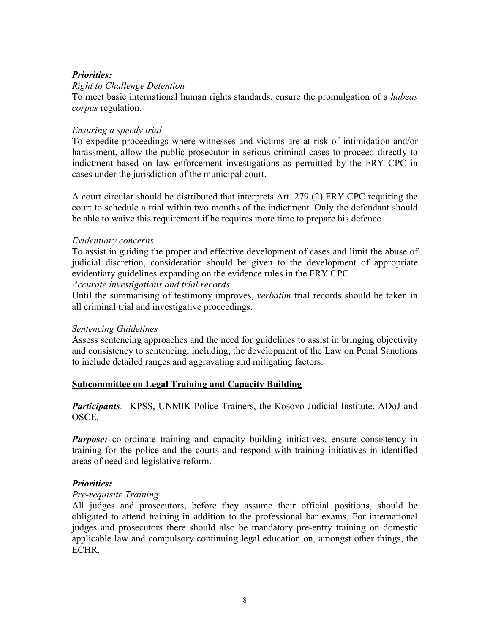#### *Priorities:*

#### *Right to Challenge Detention*

To meet basic international human rights standards, ensure the promulgation of a *habeas corpus* regulation.

#### *Ensuring a speedy trial*

To expedite proceedings where witnesses and victims are at risk of intimidation and/or harassment, allow the public prosecutor in serious criminal cases to proceed directly to indictment based on law enforcement investigations as permitted by the FRY CPC in cases under the jurisdiction of the municipal court.

A court circular should be distributed that interprets Art. 279 (2) FRY CPC requiring the court to schedule a trial within two months of the indictment. Only the defendant should be able to waive this requirement if he requires more time to prepare his defence.

#### *Evidentiary concerns*

To assist in guiding the proper and effective development of cases and limit the abuse of judicial discretion, consideration should be given to the development of appropriate evidentiary guidelines expanding on the evidence rules in the FRY CPC.

#### *Accurate investigations and trial records*

Until the summarising of testimony improves, *verbatim* trial records should be taken in all criminal trial and investigative proceedings.

#### *Sentencing Guidelines*

Assess sentencing approaches and the need for guidelines to assist in bringing objectivity and consistency to sentencing, including, the development of the Law on Penal Sanctions to include detailed ranges and aggravating and mitigating factors.

#### **Subcommittee on Legal Training and Capacity Building**

*Participants:* KPSS, UNMIK Police Trainers, the Kosovo Judicial Institute, ADoJ and OSCE.

*Purpose:* co-ordinate training and capacity building initiatives, ensure consistency in training for the police and the courts and respond with training initiatives in identified areas of need and legislative reform.

#### *Priorities:*

#### *Pre-requisite Training*

All judges and prosecutors, before they assume their official positions, should be obligated to attend training in addition to the professional bar exams. For international judges and prosecutors there should also be mandatory pre-entry training on domestic applicable law and compulsory continuing legal education on, amongst other things, the **ECHR**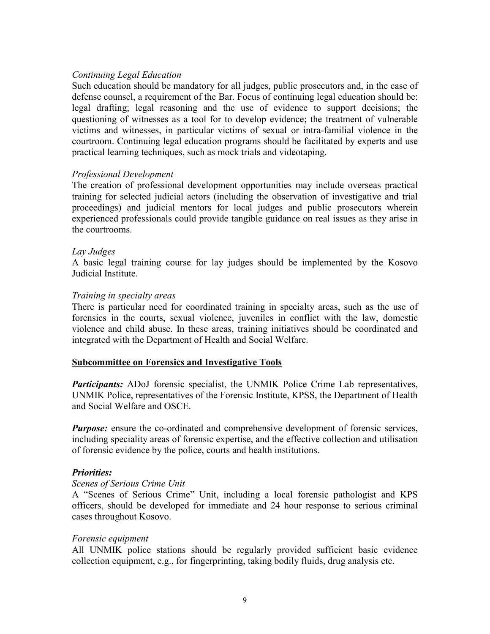#### *Continuing Legal Education*

Such education should be mandatory for all judges, public prosecutors and, in the case of defense counsel, a requirement of the Bar. Focus of continuing legal education should be: legal drafting; legal reasoning and the use of evidence to support decisions; the questioning of witnesses as a tool for to develop evidence; the treatment of vulnerable victims and witnesses, in particular victims of sexual or intra-familial violence in the courtroom. Continuing legal education programs should be facilitated by experts and use practical learning techniques, such as mock trials and videotaping.

#### *Professional Development*

The creation of professional development opportunities may include overseas practical training for selected judicial actors (including the observation of investigative and trial proceedings) and judicial mentors for local judges and public prosecutors wherein experienced professionals could provide tangible guidance on real issues as they arise in the courtrooms.

#### *Lay Judges*

A basic legal training course for lay judges should be implemented by the Kosovo Judicial Institute.

#### *Training in specialty areas*

There is particular need for coordinated training in specialty areas, such as the use of forensics in the courts, sexual violence, juveniles in conflict with the law, domestic violence and child abuse. In these areas, training initiatives should be coordinated and integrated with the Department of Health and Social Welfare.

#### **Subcommittee on Forensics and Investigative Tools**

*Participants:* ADoJ forensic specialist, the UNMIK Police Crime Lab representatives, UNMIK Police, representatives of the Forensic Institute, KPSS, the Department of Health and Social Welfare and OSCE.

*Purpose:* ensure the co-ordinated and comprehensive development of forensic services, including speciality areas of forensic expertise, and the effective collection and utilisation of forensic evidence by the police, courts and health institutions.

#### *Priorities:*

#### *Scenes of Serious Crime Unit*

A "Scenes of Serious Crime" Unit, including a local forensic pathologist and KPS officers, should be developed for immediate and 24 hour response to serious criminal cases throughout Kosovo.

#### *Forensic equipment*

All UNMIK police stations should be regularly provided sufficient basic evidence collection equipment, e.g., for fingerprinting, taking bodily fluids, drug analysis etc.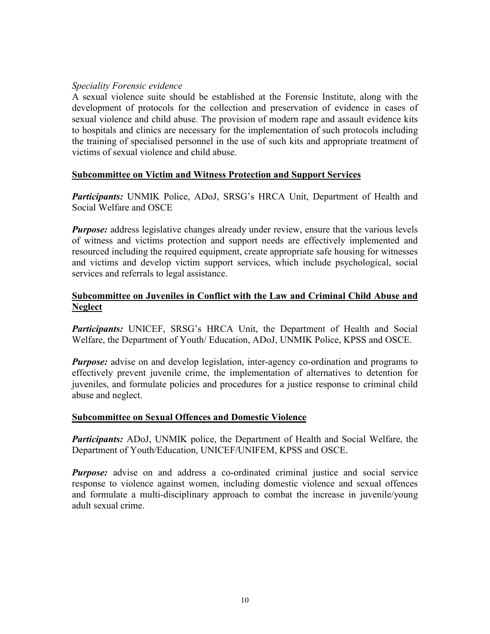#### *Speciality Forensic evidence*

A sexual violence suite should be established at the Forensic Institute, along with the development of protocols for the collection and preservation of evidence in cases of sexual violence and child abuse. The provision of modern rape and assault evidence kits to hospitals and clinics are necessary for the implementation of such protocols including the training of specialised personnel in the use of such kits and appropriate treatment of victims of sexual violence and child abuse.

### **Subcommittee on Victim and Witness Protection and Support Services**

*Participants:* UNMIK Police, ADoJ, SRSG's HRCA Unit, Department of Health and Social Welfare and OSCE

*Purpose:* address legislative changes already under review, ensure that the various levels of witness and victims protection and support needs are effectively implemented and resourced including the required equipment, create appropriate safe housing for witnesses and victims and develop victim support services, which include psychological, social services and referrals to legal assistance.

### **Subcommittee on Juveniles in Conflict with the Law and Criminal Child Abuse and Neglect**

*Participants:* UNICEF, SRSG's HRCA Unit, the Department of Health and Social Welfare, the Department of Youth/ Education, ADoJ, UNMIK Police, KPSS and OSCE.

*Purpose:* advise on and develop legislation, inter-agency co-ordination and programs to effectively prevent juvenile crime, the implementation of alternatives to detention for juveniles, and formulate policies and procedures for a justice response to criminal child abuse and neglect.

#### **Subcommittee on Sexual Offences and Domestic Violence**

*Participants:* ADoJ, UNMIK police, the Department of Health and Social Welfare, the Department of Youth/Education, UNICEF/UNIFEM, KPSS and OSCE.

*Purpose:* advise on and address a co-ordinated criminal justice and social service response to violence against women, including domestic violence and sexual offences and formulate a multi-disciplinary approach to combat the increase in juvenile/young adult sexual crime.